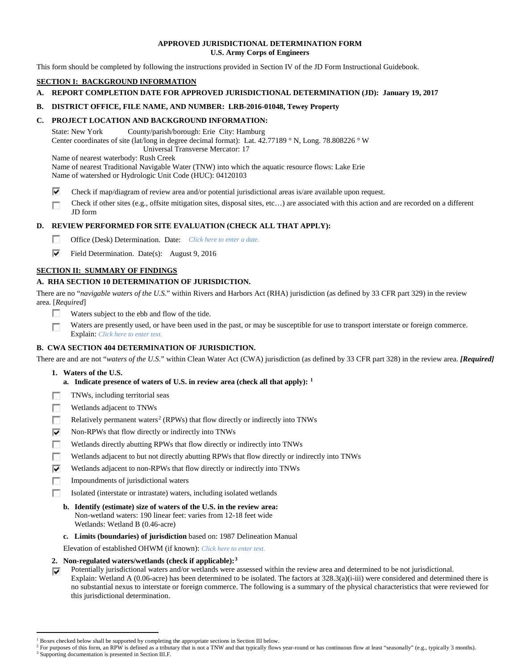# **APPROVED JURISDICTIONAL DETERMINATION FORM U.S. Army Corps of Engineers**

This form should be completed by following the instructions provided in Section IV of the JD Form Instructional Guidebook.

# **SECTION I: BACKGROUND INFORMATION**

# **A. REPORT COMPLETION DATE FOR APPROVED JURISDICTIONAL DETERMINATION (JD): January 19, 2017**

# **B. DISTRICT OFFICE, FILE NAME, AND NUMBER: LRB-2016-01048, Tewey Property**

# **C. PROJECT LOCATION AND BACKGROUND INFORMATION:**

State: New York County/parish/borough: Erie City: Hamburg Center coordinates of site (lat/long in degree decimal format): Lat. 42.77189 ° N, Long. 78.808226 ° W Universal Transverse Mercator: 17

Name of nearest waterbody: Rush Creek

Name of nearest Traditional Navigable Water (TNW) into which the aquatic resource flows: Lake Erie

Name of watershed or Hydrologic Unit Code (HUC): 04120103

⊽ Check if map/diagram of review area and/or potential jurisdictional areas is/are available upon request.

Check if other sites (e.g., offsite mitigation sites, disposal sites, etc…) are associated with this action and are recorded on a different г JD form

# **D. REVIEW PERFORMED FOR SITE EVALUATION (CHECK ALL THAT APPLY):**

- $\sim$ Office (Desk) Determination. Date: *Click here to enter a date.*
- ⊽ Field Determination. Date(s): August 9, 2016

# **SECTION II: SUMMARY OF FINDINGS**

# **A. RHA SECTION 10 DETERMINATION OF JURISDICTION.**

There are no "*navigable waters of the U.S.*" within Rivers and Harbors Act (RHA) jurisdiction (as defined by 33 CFR part 329) in the review area. [*Required*]

- п Waters subject to the ebb and flow of the tide.
- Waters are presently used, or have been used in the past, or may be susceptible for use to transport interstate or foreign commerce. п Explain: *Click here to enter text.*

# **B. CWA SECTION 404 DETERMINATION OF JURISDICTION.**

There are and are not "*waters of the U.S.*" within Clean Water Act (CWA) jurisdiction (as defined by 33 CFR part 328) in the review area. *[Required]*

- **1. Waters of the U.S.**
	- **a. Indicate presence of waters of U.S. in review area (check all that apply): [1](#page-0-0)**
- п TNWs, including territorial seas
- n Wetlands adjacent to TNWs
- T. Relatively permanent waters<sup>[2](#page-0-1)</sup> (RPWs) that flow directly or indirectly into TNWs
- ⊽ Non-RPWs that flow directly or indirectly into TNWs
- n Wetlands directly abutting RPWs that flow directly or indirectly into TNWs
- Wetlands adjacent to but not directly abutting RPWs that flow directly or indirectly into TNWs п
- ⊽ Wetlands adjacent to non-RPWs that flow directly or indirectly into TNWs
- n. Impoundments of jurisdictional waters
- Isolated (interstate or intrastate) waters, including isolated wetlands п
	- **b. Identify (estimate) size of waters of the U.S. in the review area:** Non-wetland waters: 190 linear feet: varies from 12-18 feet wide Wetlands: Wetland B (0.46-acre)
	- **c. Limits (boundaries) of jurisdiction** based on: 1987 Delineation Manual

Elevation of established OHWM (if known): *Click here to enter text.*

- **2. Non-regulated waters/wetlands (check if applicable):[3](#page-0-2)**
- Potentially jurisdictional waters and/or wetlands were assessed within the review area and determined to be not jurisdictional. ⊽ Explain: Wetland A (0.06-acre) has been determined to be isolated. The factors at 328.3(a)(i-iii) were considered and determined there is no substantial nexus to interstate or foreign commerce. The following is a summary of the physical characteristics that were reviewed for this jurisdictional determination.

<sup>&</sup>lt;sup>1</sup> Boxes checked below shall be supported by completing the appropriate sections in Section III below.

<span id="page-0-2"></span><span id="page-0-1"></span><span id="page-0-0"></span>For purposes of this form, an RPW is defined as a tributary that is not a TNW and that typically flows year-round or has continuous flow at least "seasonally" (e.g., typically 3 months). <sup>3</sup> Supporting documentation is presented in Section III.F.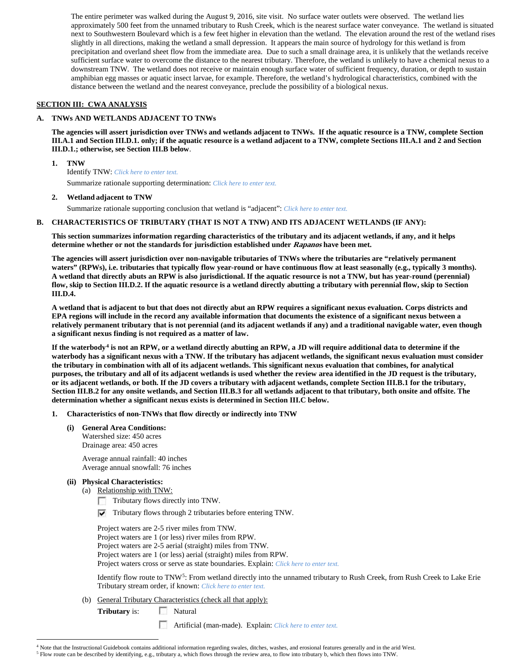The entire perimeter was walked during the August 9, 2016, site visit. No surface water outlets were observed. The wetland lies approximately 500 feet from the unnamed tributary to Rush Creek, which is the nearest surface water conveyance. The wetland is situated next to Southwestern Boulevard which is a few feet higher in elevation than the wetland. The elevation around the rest of the wetland rises slightly in all directions, making the wetland a small depression. It appears the main source of hydrology for this wetland is from precipitation and overland sheet flow from the immediate area. Due to such a small drainage area, it is unlikely that the wetlands receive sufficient surface water to overcome the distance to the nearest tributary. Therefore, the wetland is unlikely to have a chemical nexus to a downstream TNW. The wetland does not receive or maintain enough surface water of sufficient frequency, duration, or depth to sustain amphibian egg masses or aquatic insect larvae, for example. Therefore, the wetland's hydrological characteristics, combined with the distance between the wetland and the nearest conveyance, preclude the possibility of a biological nexus.

# **SECTION III: CWA ANALYSIS**

# **A. TNWs AND WETLANDS ADJACENT TO TNWs**

**The agencies will assert jurisdiction over TNWs and wetlands adjacent to TNWs. If the aquatic resource is a TNW, complete Section III.A.1 and Section III.D.1. only; if the aquatic resource is a wetland adjacent to a TNW, complete Sections III.A.1 and 2 and Section III.D.1.; otherwise, see Section III.B below**.

**1. TNW** 

Identify TNW: *Click here to enter text.*

Summarize rationale supporting determination: *Click here to enter text.*

# **2. Wetland adjacent to TNW**

Summarize rationale supporting conclusion that wetland is "adjacent": *Click here to enter text.*

## **B. CHARACTERISTICS OF TRIBUTARY (THAT IS NOT A TNW) AND ITS ADJACENT WETLANDS (IF ANY):**

**This section summarizes information regarding characteristics of the tributary and its adjacent wetlands, if any, and it helps determine whether or not the standards for jurisdiction established under Rapanos have been met.** 

**The agencies will assert jurisdiction over non-navigable tributaries of TNWs where the tributaries are "relatively permanent waters" (RPWs), i.e. tributaries that typically flow year-round or have continuous flow at least seasonally (e.g., typically 3 months). A wetland that directly abuts an RPW is also jurisdictional. If the aquatic resource is not a TNW, but has year-round (perennial) flow, skip to Section III.D.2. If the aquatic resource is a wetland directly abutting a tributary with perennial flow, skip to Section III.D.4.**

**A wetland that is adjacent to but that does not directly abut an RPW requires a significant nexus evaluation. Corps districts and EPA regions will include in the record any available information that documents the existence of a significant nexus between a relatively permanent tributary that is not perennial (and its adjacent wetlands if any) and a traditional navigable water, even though a significant nexus finding is not required as a matter of law.**

**If the waterbody[4](#page-1-0) is not an RPW, or a wetland directly abutting an RPW, a JD will require additional data to determine if the waterbody has a significant nexus with a TNW. If the tributary has adjacent wetlands, the significant nexus evaluation must consider the tributary in combination with all of its adjacent wetlands. This significant nexus evaluation that combines, for analytical purposes, the tributary and all of its adjacent wetlands is used whether the review area identified in the JD request is the tributary, or its adjacent wetlands, or both. If the JD covers a tributary with adjacent wetlands, complete Section III.B.1 for the tributary, Section III.B.2 for any onsite wetlands, and Section III.B.3 for all wetlands adjacent to that tributary, both onsite and offsite. The determination whether a significant nexus exists is determined in Section III.C below.**

- **1. Characteristics of non-TNWs that flow directly or indirectly into TNW**
	- **(i) General Area Conditions:** Watershed size: 450 acres Drainage area: 450 acres

Average annual rainfall: 40 inches Average annual snowfall: 76 inches

- **(ii) Physical Characteristics:**
	- (a) Relationship with TNW:
		- Tributary flows directly into TNW.
		- $\nabla$  Tributary flows through 2 tributaries before entering TNW.

Project waters are 2-5 river miles from TNW. Project waters are 1 (or less) river miles from RPW. Project waters are 2-5 aerial (straight) miles from TNW. Project waters are 1 (or less) aerial (straight) miles from RPW. Project waters cross or serve as state boundaries. Explain: *Click here to enter text.*

Identify flow route to TNW[5:](#page-1-1) From wetland directly into the unnamed tributary to Rush Creek, from Rush Creek to Lake Erie Tributary stream order, if known: *Click here to enter text.*

(b) General Tributary Characteristics (check all that apply):

**Tributary** is: Natural

Artificial (man-made). Explain: *Click here to enter text.*

 <sup>4</sup> Note that the Instructional Guidebook contains additional information regarding swales, ditches, washes, and erosional features generally and in the arid West.

<span id="page-1-1"></span><span id="page-1-0"></span><sup>5</sup> Flow route can be described by identifying, e.g., tributary a, which flows through the review area, to flow into tributary b, which then flows into TNW.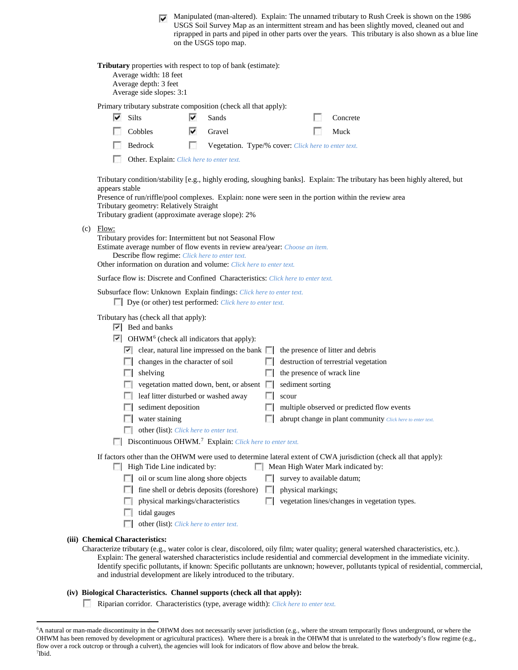Manipulated (man-altered). Explain: The unnamed tributary to Rush Creek is shown on the 1986 USGS Soil Survey Map as an intermittent stream and has been slightly moved, cleaned out and riprapped in parts and piped in other parts over the years. This tributary is also shown as a blue line on the USGS topo map.

|     |                         | Tributary properties with respect to top of bank (estimate):<br>Average width: 18 feet<br>Average depth: 3 feet<br>Average side slopes: 3:1                                                                                                                                                                                                                                                                 |   |                                                                                                                       |              |                                                         |                                                                                                                                                                                                                                    |
|-----|-------------------------|-------------------------------------------------------------------------------------------------------------------------------------------------------------------------------------------------------------------------------------------------------------------------------------------------------------------------------------------------------------------------------------------------------------|---|-----------------------------------------------------------------------------------------------------------------------|--------------|---------------------------------------------------------|------------------------------------------------------------------------------------------------------------------------------------------------------------------------------------------------------------------------------------|
|     |                         | Primary tributary substrate composition (check all that apply):                                                                                                                                                                                                                                                                                                                                             |   |                                                                                                                       |              |                                                         |                                                                                                                                                                                                                                    |
|     | M                       | Silts                                                                                                                                                                                                                                                                                                                                                                                                       | է | Sands                                                                                                                 |              |                                                         | Concrete                                                                                                                                                                                                                           |
|     |                         | Cobbles                                                                                                                                                                                                                                                                                                                                                                                                     | ⊽ | Gravel                                                                                                                |              |                                                         | Muck                                                                                                                                                                                                                               |
|     |                         | Bedrock                                                                                                                                                                                                                                                                                                                                                                                                     | n | Vegetation. Type/% cover: Click here to enter text.                                                                   |              |                                                         |                                                                                                                                                                                                                                    |
|     |                         | Other. Explain: Click here to enter text.                                                                                                                                                                                                                                                                                                                                                                   |   |                                                                                                                       |              |                                                         |                                                                                                                                                                                                                                    |
| (c) | appears stable<br>Flow: | Tributary geometry: Relatively Straight<br>Tributary gradient (approximate average slope): 2%                                                                                                                                                                                                                                                                                                               |   |                                                                                                                       |              |                                                         | Tributary condition/stability [e.g., highly eroding, sloughing banks]. Explain: The tributary has been highly altered, but<br>Presence of run/riffle/pool complexes. Explain: none were seen in the portion within the review area |
|     |                         | Tributary provides for: Intermittent but not Seasonal Flow<br>Estimate average number of flow events in review area/year: Choose an item.<br>Describe flow regime: Click here to enter text.                                                                                                                                                                                                                |   |                                                                                                                       |              |                                                         |                                                                                                                                                                                                                                    |
|     |                         | Other information on duration and volume: Click here to enter text.                                                                                                                                                                                                                                                                                                                                         |   |                                                                                                                       |              |                                                         |                                                                                                                                                                                                                                    |
|     |                         | Surface flow is: Discrete and Confined Characteristics: Click here to enter text.                                                                                                                                                                                                                                                                                                                           |   |                                                                                                                       |              |                                                         |                                                                                                                                                                                                                                    |
|     |                         | Subsurface flow: Unknown Explain findings: Click here to enter text.<br>$\Box$ Dye (or other) test performed: <i>Click here to enter text.</i>                                                                                                                                                                                                                                                              |   |                                                                                                                       |              |                                                         |                                                                                                                                                                                                                                    |
|     |                         | Tributary has (check all that apply):<br>$ \nabla $ Bed and banks<br>$\triangleright$ OHWM <sup>6</sup> (check all indicators that apply):<br>$\vert \cdot \vert$ clear, natural line impressed on the bank $\vert \cdot \vert$<br>changes in the character of soil<br>shelving<br>leaf litter disturbed or washed away<br>sediment deposition<br>water staining<br>other (list): Click here to enter text. |   | vegetation matted down, bent, or absent $\Box$<br>Discontinuous OHWM. <sup>7</sup> Explain: Click here to enter text. |              | the presence of wrack line<br>sediment sorting<br>scour | the presence of litter and debris<br>destruction of terrestrial vegetation<br>multiple observed or predicted flow events<br>abrupt change in plant community Click here to enter text.                                             |
|     |                         | $\Box$ High Tide Line indicated by:<br>oil or scum line along shore objects<br>physical markings/characteristics<br>tidal gauges<br>L.<br>other (list): Click here to enter text.<br><b>Chemical Characteristics:</b>                                                                                                                                                                                       |   | fine shell or debris deposits (foreshore)                                                                             | L.<br>$\sim$ | survey to available datum;<br>physical markings;        | If factors other than the OHWM were used to determine lateral extent of CWA jurisdiction (check all that apply):<br>Mean High Water Mark indicated by:<br>vegetation lines/changes in vegetation types.                            |

# (iii) C

Characterize tributary (e.g., water color is clear, discolored, oily film; water quality; general watershed characteristics, etc.). Explain: The general watershed characteristics include residential and commercial development in the immediate vicinity. Identify specific pollutants, if known: Specific pollutants are unknown; however, pollutants typical of residential, commercial, and industrial development are likely introduced to the tributary.

# **(iv) Biological Characteristics. Channel supports (check all that apply):**

Riparian corridor. Characteristics (type, average width): *Click here to enter text.*

<span id="page-2-1"></span><span id="page-2-0"></span> <sup>6</sup> <sup>6</sup>A natural or man-made discontinuity in the OHWM does not necessarily sever jurisdiction (e.g., where the stream temporarily flows underground, or where the OHWM has been removed by development or agricultural practices). Where there is a break in the OHWM that is unrelated to the waterbody's flow regime (e.g., flow over a rock outcrop or through a culvert), the agencies will look for indicators of flow above and below the break. 7 Ibid.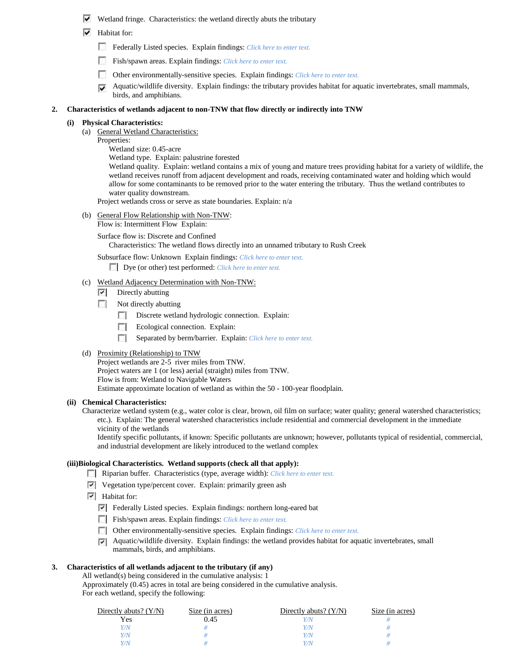- $\triangledown$  Wetland fringe. Characteristics: the wetland directly abuts the tributary
- $\blacktriangleright$  Habitat for:
	- Federally Listed species. Explain findings: *Click here to enter text.*
	- Fish/spawn areas. Explain findings: *Click here to enter text.*
	- п Other environmentally-sensitive species. Explain findings: *Click here to enter text.*
	- Aquatic/wildlife diversity. Explain findings: the tributary provides habitat for aquatic invertebrates, small mammals, ⊽ birds, and amphibians.

#### **2. Characteristics of wetlands adjacent to non-TNW that flow directly or indirectly into TNW**

#### **(i) Physical Characteristics:**

- (a) General Wetland Characteristics:
	- Properties:
		- Wetland size: 0.45-acre
		- Wetland type. Explain: palustrine forested

Wetland quality. Explain: wetland contains a mix of young and mature trees providing habitat for a variety of wildlife, the wetland receives runoff from adjacent development and roads, receiving contaminated water and holding which would allow for some contaminants to be removed prior to the water entering the tributary. Thus the wetland contributes to water quality downstream.

Project wetlands cross or serve as state boundaries. Explain: n/a

- (b) General Flow Relationship with Non-TNW: Flow is: Intermittent Flow Explain:
	- Surface flow is: Discrete and Confined Characteristics: The wetland flows directly into an unnamed tributary to Rush Creek

Subsurface flow: Unknown Explain findings: *Click here to enter text.*

- Dye (or other) test performed: *Click here to enter text.*
- (c) Wetland Adjacency Determination with Non-TNW:
	- $\triangledown$  Directly abutting
	- E. Not directly abutting
		- $\sim$ Discrete wetland hydrologic connection. Explain:
		- $\overline{a}$ Ecological connection. Explain:
		- п Separated by berm/barrier. Explain: *Click here to enter text.*

#### (d) Proximity (Relationship) to TNW

Project wetlands are 2-5 river miles from TNW. Project waters are 1 (or less) aerial (straight) miles from TNW. Flow is from: Wetland to Navigable Waters Estimate approximate location of wetland as within the 50 - 100-year floodplain.

#### **(ii) Chemical Characteristics:**

Characterize wetland system (e.g., water color is clear, brown, oil film on surface; water quality; general watershed characteristics; etc.). Explain: The general watershed characteristics include residential and commercial development in the immediate vicinity of the wetlands

Identify specific pollutants, if known: Specific pollutants are unknown; however, pollutants typical of residential, commercial, and industrial development are likely introduced to the wetland complex

# **(iii)Biological Characteristics. Wetland supports (check all that apply):**

- Riparian buffer. Characteristics (type, average width): *Click here to enter text.*
- $\triangledown$  Vegetation type/percent cover. Explain: primarily green ash
- $\overline{\triangledown}$  Habitat for:
	- Federally Listed species. Explain findings: northern long-eared bat
	- Fish/spawn areas. Explain findings: *Click here to enter text.*
	- Other environmentally-sensitive species. Explain findings: *Click here to enter text.*
	- $\nabla$  Aquatic/wildlife diversity. Explain findings: the wetland provides habitat for aquatic invertebrates, small mammals, birds, and amphibians.

## **3. Characteristics of all wetlands adjacent to the tributary (if any)**

All wetland(s) being considered in the cumulative analysis: 1 Approximately (0.45) acres in total are being considered in the cumulative analysis. For each wetland, specify the following:

| Directly abuts? $(Y/N)$ | Size (in acres) | Directly abuts? $(Y/N)$ | Size (in acres) |
|-------------------------|-----------------|-------------------------|-----------------|
| Yes                     | 0.45            |                         |                 |
| Y/N                     |                 |                         |                 |
| Y/N                     |                 | 77N                     |                 |
| Y/N                     |                 |                         |                 |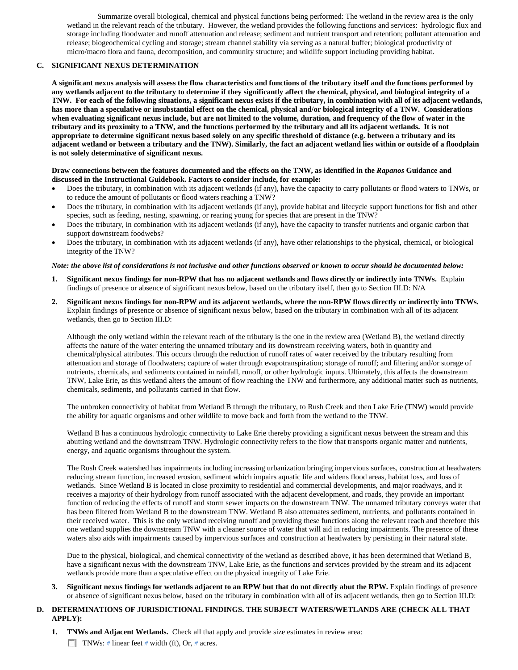Summarize overall biological, chemical and physical functions being performed: The wetland in the review area is the only wetland in the relevant reach of the tributary. However, the wetland provides the following functions and services: hydrologic flux and storage including floodwater and runoff attenuation and release; sediment and nutrient transport and retention; pollutant attenuation and release; biogeochemical cycling and storage; stream channel stability via serving as a natural buffer; biological productivity of micro/macro flora and fauna, decomposition, and community structure; and wildlife support including providing habitat.

# **C. SIGNIFICANT NEXUS DETERMINATION**

**A significant nexus analysis will assess the flow characteristics and functions of the tributary itself and the functions performed by any wetlands adjacent to the tributary to determine if they significantly affect the chemical, physical, and biological integrity of a TNW. For each of the following situations, a significant nexus exists if the tributary, in combination with all of its adjacent wetlands, has more than a speculative or insubstantial effect on the chemical, physical and/or biological integrity of a TNW. Considerations when evaluating significant nexus include, but are not limited to the volume, duration, and frequency of the flow of water in the tributary and its proximity to a TNW, and the functions performed by the tributary and all its adjacent wetlands. It is not appropriate to determine significant nexus based solely on any specific threshold of distance (e.g. between a tributary and its adjacent wetland or between a tributary and the TNW). Similarly, the fact an adjacent wetland lies within or outside of a floodplain is not solely determinative of significant nexus.** 

## **Draw connections between the features documented and the effects on the TNW, as identified in the** *Rapanos* **Guidance and discussed in the Instructional Guidebook. Factors to consider include, for example:**

- Does the tributary, in combination with its adjacent wetlands (if any), have the capacity to carry pollutants or flood waters to TNWs, or to reduce the amount of pollutants or flood waters reaching a TNW?
- Does the tributary, in combination with its adjacent wetlands (if any), provide habitat and lifecycle support functions for fish and other species, such as feeding, nesting, spawning, or rearing young for species that are present in the TNW?
- Does the tributary, in combination with its adjacent wetlands (if any), have the capacity to transfer nutrients and organic carbon that support downstream foodwebs?
- Does the tributary, in combination with its adjacent wetlands (if any), have other relationships to the physical, chemical, or biological integrity of the TNW?

## *Note: the above list of considerations is not inclusive and other functions observed or known to occur should be documented below:*

- **1. Significant nexus findings for non-RPW that has no adjacent wetlands and flows directly or indirectly into TNWs.** Explain findings of presence or absence of significant nexus below, based on the tributary itself, then go to Section III.D: N/A
- **2. Significant nexus findings for non-RPW and its adjacent wetlands, where the non-RPW flows directly or indirectly into TNWs.**  Explain findings of presence or absence of significant nexus below, based on the tributary in combination with all of its adjacent wetlands, then go to Section III.D:

Although the only wetland within the relevant reach of the tributary is the one in the review area (Wetland B), the wetland directly affects the nature of the water entering the unnamed tributary and its downstream receiving waters, both in quantity and chemical/physical attributes. This occurs through the reduction of runoff rates of water received by the tributary resulting from attenuation and storage of floodwaters; capture of water through evapotranspiration; storage of runoff; and filtering and/or storage of nutrients, chemicals, and sediments contained in rainfall, runoff, or other hydrologic inputs. Ultimately, this affects the downstream TNW, Lake Erie, as this wetland alters the amount of flow reaching the TNW and furthermore, any additional matter such as nutrients, chemicals, sediments, and pollutants carried in that flow.

The unbroken connectivity of habitat from Wetland B through the tributary, to Rush Creek and then Lake Erie (TNW) would provide the ability for aquatic organisms and other wildlife to move back and forth from the wetland to the TNW.

Wetland B has a continuous hydrologic connectivity to Lake Erie thereby providing a significant nexus between the stream and this abutting wetland and the downstream TNW. Hydrologic connectivity refers to the flow that transports organic matter and nutrients, energy, and aquatic organisms throughout the system.

The Rush Creek watershed has impairments including increasing urbanization bringing impervious surfaces, construction at headwaters reducing stream function, increased erosion, sediment which impairs aquatic life and widens flood areas, habitat loss, and loss of wetlands. Since Wetland B is located in close proximity to residential and commercial developments, and major roadways, and it receives a majority of their hydrology from runoff associated with the adjacent development, and roads, they provide an important function of reducing the effects of runoff and storm sewer impacts on the downstream TNW. The unnamed tributary conveys water that has been filtered from Wetland B to the downstream TNW. Wetland B also attenuates sediment, nutrients, and pollutants contained in their received water. This is the only wetland receiving runoff and providing these functions along the relevant reach and therefore this one wetland supplies the downstream TNW with a cleaner source of water that will aid in reducing impairments. The presence of these waters also aids with impairments caused by impervious surfaces and construction at headwaters by persisting in their natural state.

Due to the physical, biological, and chemical connectivity of the wetland as described above, it has been determined that Wetland B, have a significant nexus with the downstream TNW, Lake Erie, as the functions and services provided by the stream and its adjacent wetlands provide more than a speculative effect on the physical integrity of Lake Erie.

**3. Significant nexus findings for wetlands adjacent to an RPW but that do not directly abut the RPW.** Explain findings of presence or absence of significant nexus below, based on the tributary in combination with all of its adjacent wetlands, then go to Section III.D:

# **D. DETERMINATIONS OF JURISDICTIONAL FINDINGS. THE SUBJECT WATERS/WETLANDS ARE (CHECK ALL THAT APPLY):**

**1. TNWs and Adjacent Wetlands.** Check all that apply and provide size estimates in review area: TNWs: *#* linear feet *#* width (ft), Or, *#* acres.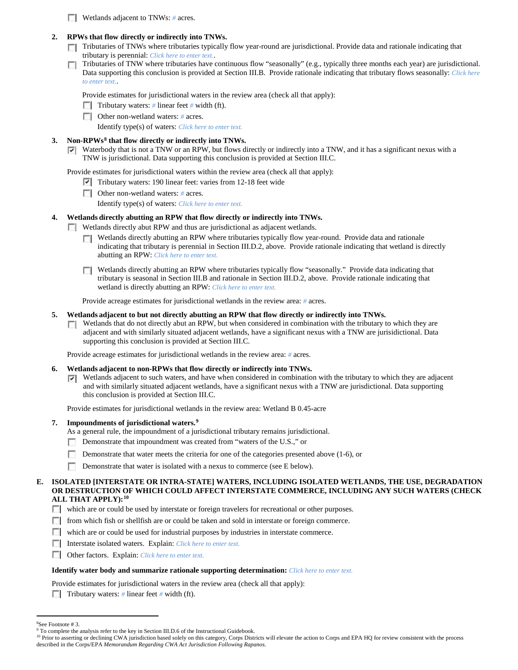**Wetlands adjacent to TNWs:** # acres.

# **2. RPWs that flow directly or indirectly into TNWs.**

- Tributaries of TNWs where tributaries typically flow year-round are jurisdictional. Provide data and rationale indicating that tributary is perennial: *Click here to enter text.*.
- Tributaries of TNW where tributaries have continuous flow "seasonally" (e.g., typically three months each year) are jurisdictional.  $\sim$ Data supporting this conclusion is provided at Section III.B. Provide rationale indicating that tributary flows seasonally: *Click here to enter text.*.

Provide estimates for jurisdictional waters in the review area (check all that apply):

- **Tributary waters:** # linear feet # width (ft).
- Other non-wetland waters: *#* acres.

Identify type(s) of waters: *Click here to enter text.*

# **3. Non-RPWs[8](#page-5-0) that flow directly or indirectly into TNWs.**

 $\nabla$  Waterbody that is not a TNW or an RPW, but flows directly or indirectly into a TNW, and it has a significant nexus with a TNW is jurisdictional. Data supporting this conclusion is provided at Section III.C.

Provide estimates for jurisdictional waters within the review area (check all that apply):

- Tributary waters: 190 linear feet: varies from 12-18 feet wide
- Other non-wetland waters: *#* acres.

Identify type(s) of waters: *Click here to enter text.*

# **4. Wetlands directly abutting an RPW that flow directly or indirectly into TNWs.**

- Wetlands directly abut RPW and thus are jurisdictional as adjacent wetlands.
	- Wetlands directly abutting an RPW where tributaries typically flow year-round. Provide data and rationale indicating that tributary is perennial in Section III.D.2, above. Provide rationale indicating that wetland is directly abutting an RPW: *Click here to enter text.*
	- Wetlands directly abutting an RPW where tributaries typically flow "seasonally." Provide data indicating that tributary is seasonal in Section III.B and rationale in Section III.D.2, above. Provide rationale indicating that wetland is directly abutting an RPW: *Click here to enter text.*

Provide acreage estimates for jurisdictional wetlands in the review area: *#* acres.

## **5. Wetlands adjacent to but not directly abutting an RPW that flow directly or indirectly into TNWs.**

 $\Box$  Wetlands that do not directly abut an RPW, but when considered in combination with the tributary to which they are adjacent and with similarly situated adjacent wetlands, have a significant nexus with a TNW are jurisidictional. Data supporting this conclusion is provided at Section III.C.

Provide acreage estimates for jurisdictional wetlands in the review area: *#* acres.

## **6. Wetlands adjacent to non-RPWs that flow directly or indirectly into TNWs.**

 $\nabla$  Wetlands adjacent to such waters, and have when considered in combination with the tributary to which they are adjacent and with similarly situated adjacent wetlands, have a significant nexus with a TNW are jurisdictional. Data supporting this conclusion is provided at Section III.C.

Provide estimates for jurisdictional wetlands in the review area: Wetland B 0.45-acre

- **7. Impoundments of jurisdictional waters. [9](#page-5-1)**
	- As a general rule, the impoundment of a jurisdictional tributary remains jurisdictional.
	- Demonstrate that impoundment was created from "waters of the U.S.," or
	- $\sim$ Demonstrate that water meets the criteria for one of the categories presented above (1-6), or
	- Demonstrate that water is isolated with a nexus to commerce (see E below).

## **E. ISOLATED [INTERSTATE OR INTRA-STATE] WATERS, INCLUDING ISOLATED WETLANDS, THE USE, DEGRADATION OR DESTRUCTION OF WHICH COULD AFFECT INTERSTATE COMMERCE, INCLUDING ANY SUCH WATERS (CHECK ALL THAT APPLY):[10](#page-5-2)**

- which are or could be used by interstate or foreign travelers for recreational or other purposes.
- **F** from which fish or shellfish are or could be taken and sold in interstate or foreign commerce.
- which are or could be used for industrial purposes by industries in interstate commerce.
- Interstate isolated waters.Explain: *Click here to enter text.*
- Other factors.Explain: *Click here to enter text.*

## **Identify water body and summarize rationale supporting determination:** *Click here to enter text.*

- Provide estimates for jurisdictional waters in the review area (check all that apply):
- **Tributary waters:**  $\#$  linear feet  $\#$  width (ft).

 $\frac{1}{8}$ See Footnote # 3.

<span id="page-5-1"></span><span id="page-5-0"></span><sup>&</sup>lt;sup>9</sup> To complete the analysis refer to the key in Section III.D.6 of the Instructional Guidebook.

<span id="page-5-2"></span><sup>&</sup>lt;sup>10</sup> Prior to asserting or declining CWA jurisdiction based solely on this category, Corps Districts will elevate the action to Corps and EPA HQ for review consistent with the process described in the Corps/EPA *Memorandum Regarding CWA Act Jurisdiction Following Rapanos.*